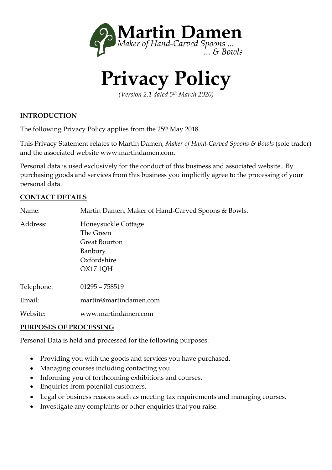

# **Privacy Policy**

*(Version 2.1 dated 5th March 2020)* 

#### **INTRODUCTION**

The following Privacy Policy applies from the 25<sup>th</sup> May 2018.

This Privacy Statement relates to Martin Damen, *Maker of Hand-Carved Spoons & Bowls* (sole trader) and the associated website www.martindamen.com.

Personal data is used exclusively for the conduct of this business and associated website. By purchasing goods and services from this business you implicitly agree to the processing of your personal data.

#### **CONTACT DETAILS**

| Name:      | Martin Damen, Maker of Hand-Carved Spoons & Bowls. |
|------------|----------------------------------------------------|
| Address:   | Honeysuckle Cottage                                |
|            | The Green                                          |
|            | Great Bourton                                      |
|            | Banbury                                            |
|            | Oxfordshire                                        |
|            | OX17 1 OH                                          |
| Telephone: | $01295 - 758519$                                   |
| Email:     | martin@martindamen.com                             |
| Website:   | www.martindamen.com                                |

#### **PURPOSES OF PROCESSING**

Personal Data is held and processed for the following purposes:

- Providing you with the goods and services you have purchased.
- Managing courses including contacting you.
- Informing you of forthcoming exhibitions and courses.
- Enquiries from potential customers.
- Legal or business reasons such as meeting tax requirements and managing courses.
- Investigate any complaints or other enquiries that you raise.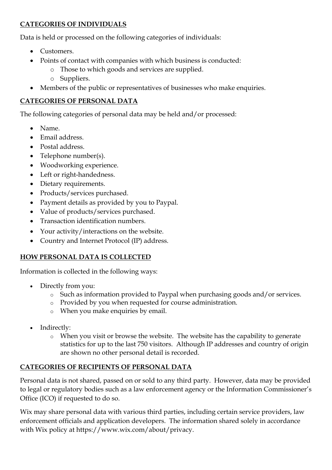## **CATEGORIES OF INDIVIDUALS**

Data is held or processed on the following categories of individuals:

- Customers.
- Points of contact with companies with which business is conducted:
	- o Those to which goods and services are supplied.
		- o Suppliers.
- Members of the public or representatives of businesses who make enquiries.

## **CATEGORIES OF PERSONAL DATA**

The following categories of personal data may be held and/or processed:

- Name.
- Email address.
- Postal address.
- Telephone number(s).
- Woodworking experience.
- Left or right-handedness.
- Dietary requirements.
- Products/services purchased.
- Payment details as provided by you to Paypal.
- Value of products/services purchased.
- Transaction identification numbers.
- Your activity/interactions on the website.
- Country and Internet Protocol (IP) address.

## **HOW PERSONAL DATA IS COLLECTED**

Information is collected in the following ways:

- Directly from you:
	- o Such as information provided to Paypal when purchasing goods and/or services.
	- o Provided by you when requested for course administration.
	- o When you make enquiries by email.
- Indirectly:
	- o When you visit or browse the website. The website has the capability to generate statistics for up to the last 750 visitors. Although IP addresses and country of origin are shown no other personal detail is recorded.

# **CATEGORIES OF RECIPIENTS OF PERSONAL DATA**

Personal data is not shared, passed on or sold to any third party. However, data may be provided to legal or regulatory bodies such as a law enforcement agency or the Information Commissioner's Office (ICO) if requested to do so.

Wix may share personal data with various third parties, including certain service providers, law enforcement officials and application developers. The information shared solely in accordance with Wix policy at https://www.wix.com/about/privacy.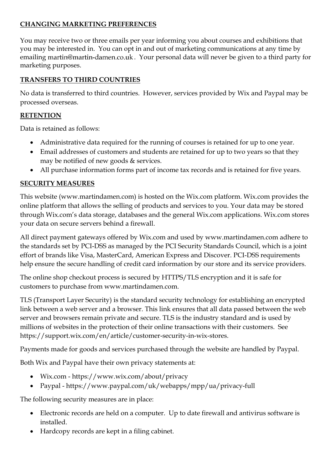## **CHANGING MARKETING PREFERENCES**

You may receive two or three emails per year informing you about courses and exhibitions that you may be interested in. You can opt in and out of marketing communications at any time by emailing martin@martin-damen.co.uk. Your personal data will never be given to a third party for marketing purposes.

## **TRANSFERS TO THIRD COUNTRIES**

No data is transferred to third countries. However, services provided by Wix and Paypal may be processed overseas.

## **RETENTION**

Data is retained as follows:

- Administrative data required for the running of courses is retained for up to one year.
- Email addresses of customers and students are retained for up to two years so that they may be notified of new goods & services.
- All purchase information forms part of income tax records and is retained for five years.

# **SECURITY MEASURES**

This website (www.martindamen.com) is hosted on the Wix.com platform. Wix.com provides the online platform that allows the selling of products and services to you. Your data may be stored through Wix.com's data storage, databases and the general Wix.com applications. Wix.com stores your data on secure servers behind a firewall.

All direct payment gateways offered by Wix.com and used by www.martindamen.com adhere to the standards set by PCI-DSS as managed by the PCI Security Standards Council, which is a joint effort of brands like Visa, MasterCard, American Express and Discover. PCI-DSS requirements help ensure the secure handling of credit card information by our store and its service providers.

The online shop checkout process is secured by HTTPS/TLS encryption and it is safe for customers to purchase from www.martindamen.com.

TLS (Transport Layer Security) is the standard security technology for establishing an encrypted link between a web server and a browser. This link ensures that all data passed between the web server and browsers remain private and secure. TLS is the industry standard and is used by millions of websites in the protection of their online transactions with their customers. See https://support.wix.com/en/article/customer-security-in-wix-stores.

Payments made for goods and services purchased through the website are handled by Paypal.

Both Wix and Paypal have their own privacy statements at:

- Wix.com https://www.wix.com/about/privacy
- Paypal https://www.paypal.com/uk/webapps/mpp/ua/privacy-full

The following security measures are in place:

- Electronic records are held on a computer. Up to date firewall and antivirus software is installed.
- Hardcopy records are kept in a filing cabinet.